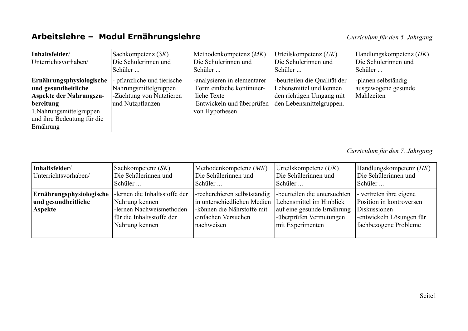## Arbeitslehre - Modul Ernährungslehre

| Inhaltsfelder/<br>Unterrichtsvorhaben/                                                                                                                         | Sachkompetenz (SK)<br>Die Schülerinnen und<br>Schüler                                                | Methodenkompetenz (MK)<br>Die Schülerinnen und<br>Schüler                                                               | Urteilskompetenz $(UK)$<br>Die Schülerinnen und<br>Schüler                                                      | Handlungskompetenz (HK)<br>Die Schülerinnen und<br>Schüler |
|----------------------------------------------------------------------------------------------------------------------------------------------------------------|------------------------------------------------------------------------------------------------------|-------------------------------------------------------------------------------------------------------------------------|-----------------------------------------------------------------------------------------------------------------|------------------------------------------------------------|
| Ernährungsphysiologische<br>und gesundheitliche<br>Aspekte der Nahrungszu-<br>bereitung<br>1. Nahrungsmittelgruppen<br>und ihre Bedeutung für die<br>Ernährung | - pflanzliche und tierische<br>Nahrungsmittelgruppen<br>-Züchtung von Nutztieren<br>und Nutzpflanzen | -analysieren in elementarer<br>Form einfache kontinuier-<br>liche Texte<br>-Entwickeln und überprüfen<br>von Hypothesen | -beurteilen die Qualität der<br>Lebensmittel und kennen<br>den richtigen Umgang mit<br>den Lebensmittelgruppen. | -planen selbständig<br>ausgewogene gesunde<br>Mahlzeiten   |

Curriculum für den 7. Jahrgang

| Inhaltsfelder/<br>Unterrichtsvorhaben/                     | Sachkompetenz (SK)<br>Die Schülerinnen und<br>Schüler                                                                      | Methodenkompetenz $(MK)$<br>Die Schülerinnen und<br>Schüler                                                                                             | Urteilskompetenz $(UK)$<br>Die Schülerinnen und<br>Schüler                                                | Handlungskompetenz (HK)<br>Die Schülerinnen und<br>Schüler                                                               |
|------------------------------------------------------------|----------------------------------------------------------------------------------------------------------------------------|---------------------------------------------------------------------------------------------------------------------------------------------------------|-----------------------------------------------------------------------------------------------------------|--------------------------------------------------------------------------------------------------------------------------|
| Ernährungsphysiologische<br>und gesundheitliche<br>Aspekte | -lernen die Inhaltsstoffe der<br>Nahrung kennen<br>-lernen Nachweismethoden<br>für die Inhaltsstoffe der<br>Nahrung kennen | -recherchieren selbstständig<br>in unterschiedlichen Medien Lebensmittel im Hinblick<br>-können die Nährstoffe mit<br>einfachen Versuchen<br>nachweisen | -beurteilen die untersuchten<br>auf eine gesunde Ernährung<br>-überprüfen Vermutungen<br>mit Experimenten | - vertreten ihre eigene<br>Position in kontroversen<br>Diskussionen<br>-entwickeln Lösungen für<br>fachbezogene Probleme |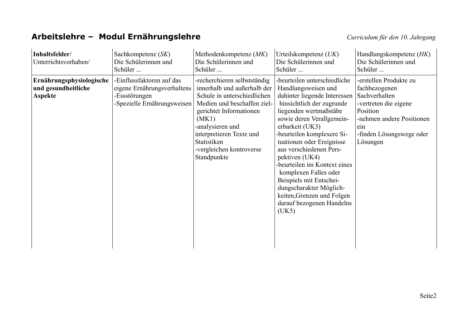## Arbeitslehre - Modul Ernährungslehre

| Inhaltsfelder/<br>Unterrichtsvorhaben/                            | Sachkompetenz (SK)<br>Die Schülerinnen und<br>Schüler                                                    | Methodenkompetenz $(MK)$<br>Die Schülerinnen und<br>Schüler                                                                                                                                                                                                             | Urteilskompetenz $(UK)$<br>Die Schülerinnen und<br>Schüler                                                                                                                                                                                                                                                                                                                                                                                                                            | Handlungskompetenz (HK)<br>Die Schülerinnen und<br>Schüler                                                                                                                |
|-------------------------------------------------------------------|----------------------------------------------------------------------------------------------------------|-------------------------------------------------------------------------------------------------------------------------------------------------------------------------------------------------------------------------------------------------------------------------|---------------------------------------------------------------------------------------------------------------------------------------------------------------------------------------------------------------------------------------------------------------------------------------------------------------------------------------------------------------------------------------------------------------------------------------------------------------------------------------|---------------------------------------------------------------------------------------------------------------------------------------------------------------------------|
| Ernährungsphysiologische<br>und gesundheitliche<br><b>Aspekte</b> | -Einflussfaktoren auf das<br>eigene Ernährungsverhaltens<br>-Essstörungen<br>-Spezielle Ernährungsweisen | -recherchieren selbstständig<br>innerhalb und außerhalb der<br>Schule in unterschiedlichen<br>Medien und beschaffen ziel-<br>gerichtet Informationen<br>(MK1)<br>-analysieren und<br>interpretieren Texte und<br>Statistiken<br>-vergleichen kontroverse<br>Standpunkte | -beurteilen unterschiedliche<br>Handlungsweisen und<br>dahinter liegende Interessen<br>hinsichtlich der zugrunde<br>liegenden wertmaßstäbe<br>sowie deren Verallgemein-<br>erbarkeit (UK3)<br>-beurteilen komplexere Si-<br>tuationen oder Ereignisse<br>aus verschiedenen Pers-<br>pektiven (UK4)<br>-beurteilen im Kontext eines<br>komplexen Falles oder<br>Beispiels mit Entschei-<br>dungscharakter Möglich-<br>keiten, Grenzen und Folgen<br>darauf bezogenen Handelns<br>(UK5) | -erstellen Produkte zu<br>fachbezogenen<br>Sachverhalten<br>-vertreten die eigene<br>Position<br>-nehmen andere Positionen<br>ein<br>-finden Lösungswege oder<br>Lösungen |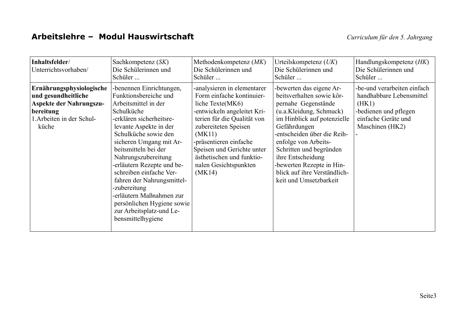| Inhaltsfelder/<br>Unterrichtsvorhaben/                                                                                               | Sachkompetenz (SK)<br>Die Schülerinnen und<br>Schüler                                                                                                                                                                                                                                                                                                                                                                                                             | Methodenkompetenz $(MK)$<br>Die Schülerinnen und<br>Schüler                                                                                                                                                                                                                                          | Urteilskompetenz $(UK)$<br>Die Schülerinnen und<br>Schüler                                                                                                                                                                                                                                                                                           | Handlungskompetenz (HK)<br>Die Schülerinnen und<br>Schüler                                                                          |
|--------------------------------------------------------------------------------------------------------------------------------------|-------------------------------------------------------------------------------------------------------------------------------------------------------------------------------------------------------------------------------------------------------------------------------------------------------------------------------------------------------------------------------------------------------------------------------------------------------------------|------------------------------------------------------------------------------------------------------------------------------------------------------------------------------------------------------------------------------------------------------------------------------------------------------|------------------------------------------------------------------------------------------------------------------------------------------------------------------------------------------------------------------------------------------------------------------------------------------------------------------------------------------------------|-------------------------------------------------------------------------------------------------------------------------------------|
| Ernährungsphysiologische<br>und gesundheitliche<br><b>Aspekte der Nahrungszu-</b><br>bereitung<br>1. Arbeiten in der Schul-<br>küche | -benennen Einrichtungen,<br>Funktionsbereiche und<br>Arbeitsmittel in der<br>Schulküche<br>-erklären sicherheitsre-<br>levante Aspekte in der<br>Schulküche sowie den<br>sicheren Umgang mit Ar-<br>beitsmitteln bei der<br>Nahrungszubereitung<br>-erläutern Rezepte und be-<br>schreiben einfache Ver-<br>fahren der Nahrungsmittel-<br>-zubereitung<br>-erläutern Maßnahmen zur<br>persönlichen Hygiene sowie<br>zur Arbeitsplatz-und Le-<br>bensmittelhygiene | -analysieren in elementarer<br>Form einfache kontinuier-<br>liche Texte(MK6)<br>-entwickeln angeleitet Kri-<br>terien für die Qualität von<br>zubereiteten Speisen<br>(MK11)<br>-präsentieren einfache<br>Speisen und Gerichte unter<br>ästhetischen und funktio-<br>nalen Gesichtspunkten<br>(MK14) | -bewerten das eigene Ar-<br>beitsverhalten sowie kör-<br>pernahe Gegenstände<br>(u.a.Kleidung, Schmuck)<br>im Hinblick auf potenzielle<br>Gefährdungen<br>-entscheiden über die Reih-<br>enfolge von Arbeits-<br>Schritten und begründen<br>ihre Entscheidung<br>-bewerten Rezepte in Hin-<br>blick auf ihre Verständlich-<br>keit und Umsetzbarkeit | -be-und verarbeiten einfach<br>handhabbare Lebensmittel<br>(HK1)<br>-bedienen und pflegen<br>einfache Geräte und<br>Maschinen (HK2) |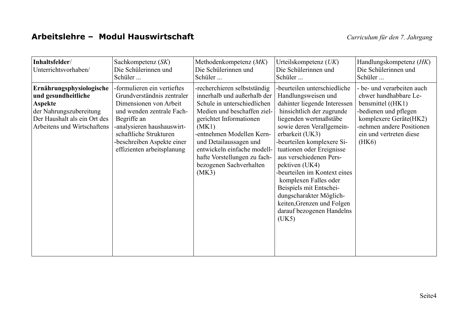| Inhaltsfelder/<br>Unterrichtsvorhaben/                                                                                                                      | Sachkompetenz (SK)<br>Die Schülerinnen und<br>Schüler                                                                                                                                                                                               | Methodenkompetenz (MK)<br>Die Schülerinnen und<br>Schüler                                                                                                                                                                                                                                                               | Urteilskompetenz $(UK)$<br>Die Schülerinnen und<br>Schüler                                                                                                                                                                                                                                                                                                                                                                                                                            | Handlungskompetenz (HK)<br>Die Schülerinnen und<br>Schüler                                                                                                                                   |
|-------------------------------------------------------------------------------------------------------------------------------------------------------------|-----------------------------------------------------------------------------------------------------------------------------------------------------------------------------------------------------------------------------------------------------|-------------------------------------------------------------------------------------------------------------------------------------------------------------------------------------------------------------------------------------------------------------------------------------------------------------------------|---------------------------------------------------------------------------------------------------------------------------------------------------------------------------------------------------------------------------------------------------------------------------------------------------------------------------------------------------------------------------------------------------------------------------------------------------------------------------------------|----------------------------------------------------------------------------------------------------------------------------------------------------------------------------------------------|
| Ernährungsphysiologische<br>und gesundheitliche<br><b>Aspekte</b><br>der Nahrungszubereitung<br>Der Haushalt als ein Ort des<br>Arbeitens und Wirtschaftens | -formulieren ein vertieftes<br>Grundverständnis zentraler<br>Dimensionen von Arbeit<br>und wenden zentrale Fach-<br>Begriffe an<br>-analysieren haushauswirt-<br>schaftliche Strukturen<br>-beschreiben Aspekte einer<br>effizienten arbeitsplanung | -recherchieren selbstständig<br>innerhalb und außerhalb der<br>Schule in unterschiedlichen<br>Medien und beschaffen ziel-<br>gerichtet Informationen<br>(MK1)<br>-entnehmen Modellen Kern-<br>und Detailaussagen und<br>entwickeln einfache modell-<br>hafte Vorstellungen zu fach-<br>bezogenen Sachverhalten<br>(MK3) | -beurteilen unterschiedliche<br>Handlungsweisen und<br>dahinter liegende Interessen<br>hinsichtlich der zugrunde<br>liegenden wertmaßstäbe<br>sowie deren Verallgemein-<br>erbarkeit (UK3)<br>-beurteilen komplexere Si-<br>tuationen oder Ereignisse<br>aus verschiedenen Pers-<br>pektiven (UK4)<br>-beurteilen im Kontext eines<br>komplexen Falles oder<br>Beispiels mit Entschei-<br>dungscharakter Möglich-<br>keiten, Grenzen und Folgen<br>darauf bezogenen Handelns<br>(UK5) | - be- und verarbeiten auch<br>chwer handhabbare Le-<br>bensmittel ((HK1)<br>-bedienen und pflegen<br>komplexere Geräte(HK2)<br>-nehmen andere Positionen<br>ein und vertreten diese<br>(HK6) |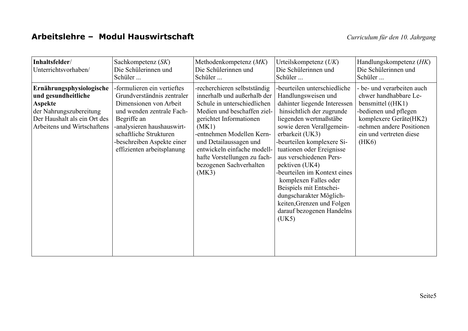| Inhaltsfelder/<br>Unterrichtsvorhaben/                                                                                                                      | Sachkompetenz (SK)<br>Die Schülerinnen und<br>Schüler                                                                                                                                                                                               | Methodenkompetenz $(MK)$<br>Die Schülerinnen und<br>Schüler                                                                                                                                                                                                                                                             | Urteilskompetenz $(UK)$<br>Die Schülerinnen und<br>Schüler                                                                                                                                                                                                                                                                                                                                                                                                                            | Handlungskompetenz (HK)<br>Die Schülerinnen und<br>Schüler                                                                                                                                     |
|-------------------------------------------------------------------------------------------------------------------------------------------------------------|-----------------------------------------------------------------------------------------------------------------------------------------------------------------------------------------------------------------------------------------------------|-------------------------------------------------------------------------------------------------------------------------------------------------------------------------------------------------------------------------------------------------------------------------------------------------------------------------|---------------------------------------------------------------------------------------------------------------------------------------------------------------------------------------------------------------------------------------------------------------------------------------------------------------------------------------------------------------------------------------------------------------------------------------------------------------------------------------|------------------------------------------------------------------------------------------------------------------------------------------------------------------------------------------------|
| Ernährungsphysiologische<br>und gesundheitliche<br><b>Aspekte</b><br>der Nahrungszubereitung<br>Der Haushalt als ein Ort des<br>Arbeitens und Wirtschaftens | -formulieren ein vertieftes<br>Grundverständnis zentraler<br>Dimensionen von Arbeit<br>und wenden zentrale Fach-<br>Begriffe an<br>-analysieren haushauswirt-<br>schaftliche Strukturen<br>-beschreiben Aspekte einer<br>effizienten arbeitsplanung | -recherchieren selbstständig<br>innerhalb und außerhalb der<br>Schule in unterschiedlichen<br>Medien und beschaffen ziel-<br>gerichtet Informationen<br>(MK1)<br>-entnehmen Modellen Kern-<br>und Detailaussagen und<br>entwickeln einfache modell-<br>hafte Vorstellungen zu fach-<br>bezogenen Sachverhalten<br>(MK3) | -beurteilen unterschiedliche<br>Handlungsweisen und<br>dahinter liegende Interessen<br>hinsichtlich der zugrunde<br>liegenden wertmaßstäbe<br>sowie deren Verallgemein-<br>erbarkeit (UK3)<br>-beurteilen komplexere Si-<br>tuationen oder Ereignisse<br>aus verschiedenen Pers-<br>pektiven (UK4)<br>-beurteilen im Kontext eines<br>komplexen Falles oder<br>Beispiels mit Entschei-<br>dungscharakter Möglich-<br>keiten, Grenzen und Folgen<br>darauf bezogenen Handelns<br>(UK5) | - be- und verarbeiten auch<br>chwer handhabbare Le-<br>bensmittel $((HK1)$<br>-bedienen und pflegen<br>komplexere Geräte(HK2)<br>-nehmen andere Positionen<br>ein und vertreten diese<br>(HK6) |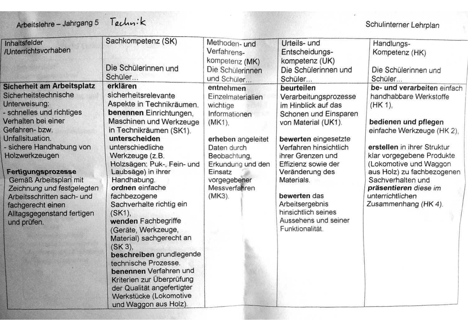# Technik

## Schulinterner Lehrplan

| Inhaltsfelder<br>Unterrichtsvorhaben                                                                                                                                                                                                                                                                                                                                                               | Sachkompetenz (SK)<br>Die Schülerinnen und<br>Schüler                                                                                                                                                                                                                                                                                                                                                                                                                                                                                                                                                                                 | Methoden-und<br>Verfahrens-<br>kompetenz (MK)<br>Die Schülerinnen<br>und Schüler                                                                                                                            | Urteils- und<br>Entscheidungs-<br>kompetenz (UK)<br>Die Schülerinnen und<br>Schüler                                                                                                                                                                                                                                                            | Handlungs-<br>Kompetenz (HK)<br>Die Schülerinnen und<br>Schüler                                                                                                                                                                                                                                                                         |
|----------------------------------------------------------------------------------------------------------------------------------------------------------------------------------------------------------------------------------------------------------------------------------------------------------------------------------------------------------------------------------------------------|---------------------------------------------------------------------------------------------------------------------------------------------------------------------------------------------------------------------------------------------------------------------------------------------------------------------------------------------------------------------------------------------------------------------------------------------------------------------------------------------------------------------------------------------------------------------------------------------------------------------------------------|-------------------------------------------------------------------------------------------------------------------------------------------------------------------------------------------------------------|------------------------------------------------------------------------------------------------------------------------------------------------------------------------------------------------------------------------------------------------------------------------------------------------------------------------------------------------|-----------------------------------------------------------------------------------------------------------------------------------------------------------------------------------------------------------------------------------------------------------------------------------------------------------------------------------------|
| Sicherheit am Arbeitsplatz<br>Sicherheitstechnische<br><b>Interweisung:</b><br>schnelles und richtiges<br>/erhalten bei einer<br>Gefahren-bzw.<br><b>Jnfallsituation.</b><br>sichere Handhabung von<br>Holzwerkzeugen<br>Fertigungsprozesse<br>Gemäß Arbeitsplan mit<br>Zeichnung und festgelegten<br>Arbeitsschritten sach- und<br>fachgerecht einen<br>Alltagsgegenstand fertigen<br>und prüfen. | erklären<br>sicherheitsrelevante<br>Aspekte in Technikräumen.<br>benennen Einrichtungen,<br>Maschinen und Werkzeuge<br>in Technikräumen (SK1).<br>unterscheiden<br>unterschiedliche<br>Werkzeuge (z.B.<br>Holzsägen: Puk-, Fein- und<br>Laubsäge) in ihrer<br>Handhabung.<br>ordnen einfache<br>fachbezogene<br>Sachverhalte richtig ein<br>$(SK1)$ ,<br>wenden Fachbegriffe<br>(Geräte, Werkzeuge,<br>Material) sachgerecht an<br>(SK3),<br>beschreiben grundlegende<br>technische Prozesse.<br>benennen Verfahren und<br>Kriterien zur Überprüfung<br>der Qualität angefertigter<br>Werkstücke (Lokomotive<br>und Waggon aus Holz). | entnehmen<br>Einzelmaterialien<br>wichtige<br>Informationen<br>$(MK1)$ .<br>erheben angeleitet<br>Daten durch<br>Beobachtung,<br>Erkundung und den<br>Einsatz<br>vorgegebener<br>Messverfahren<br>$(MK3)$ . | beurteilen<br>Verarbeitungsprozesse<br>im Hinblick auf das<br>Schonen und Einsparen<br>von Material (UK1).<br>bewerten eingesetzte<br>Verfahren hinsichtlich<br>ihrer Grenzen und<br>Effizienz sowie der<br>Veränderung des<br>Materials.<br>bewerten das<br>Arbeitsergebnis<br>hinsichtlich seines<br>Aussehens und seiner<br>Funktionalität. | be- und verarbeiten einfach<br>handhabbare Werkstoffe<br>$(HK 1)$ ,<br>bedienen und pflegen<br>einfache Werkzeuge (HK 2),<br>erstellen in ihrer Struktur<br>klar vorgegebene Produkte<br>(Lokomotive und Waggon<br>aus Holz) zu fachbezogenen<br>Sachverhalten und<br>präsentieren diese im<br>unterrichtlichen<br>Zusammenhang (HK 4). |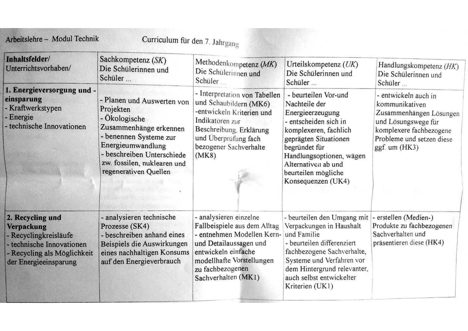| Inhaltsfelder/<br>Unterrichtsvorhaben/                                                                                                              | Sachkompetenz (SK)<br>Die Schülerinnen und<br>Schüler                                                                                                                                                                 | Methodenkompetenz (MK)<br>Die Schülerinnen und<br>Schüler.                                                                                                                                                    | Urteilskompetenz (UK)<br>Die Schülerinnen und<br>Schüler                                                                                                                                                                                              | Handlungskompetenz (HK)<br>Die Schülerinnen und<br>Schüler                                                                                                            |
|-----------------------------------------------------------------------------------------------------------------------------------------------------|-----------------------------------------------------------------------------------------------------------------------------------------------------------------------------------------------------------------------|---------------------------------------------------------------------------------------------------------------------------------------------------------------------------------------------------------------|-------------------------------------------------------------------------------------------------------------------------------------------------------------------------------------------------------------------------------------------------------|-----------------------------------------------------------------------------------------------------------------------------------------------------------------------|
| 1. Energieversorgung und -<br>einsparung<br>- Kraftwerkstypen<br>- Energie<br>- technische Innovationen                                             | - Planen und Auswerten von<br>Projekten<br>- Ökologische<br>Zusammenhänge erkennen<br>- benennen Systeme zur<br>Energieumwandlung<br>beschreiben Unterschiede<br>zw. fossilen, nuklearen und<br>regenerativen Quellen | - Interpretation von Tabellen<br>und Schaubildern (MK6)<br>-entwickeln Kriterien und<br>Indikatoren zur<br>Beschreibung, Erklärung<br>und Überprüfung fach<br>bezogener Sachverhalte<br>(MK8)                 | - beurteilen Vor-und<br>Nachteile der<br>Energieerzeugung<br>- entscheiden sich in<br>komplexeren, fachlich<br>geprägten Situationen<br>begründet für<br>Handlungsoptionen, wägen<br>Alternativen ab und<br>beurteilen mögliche<br>Konsequenzen (UK4) | - entwickeln auch in<br>kommunikativen<br>Zusammenhängen Lösungen<br>und Lösungswege für<br>komplexere fachbezogene<br>Probleme und setzen diese<br>$ggf.$ um $(HK3)$ |
| 2. Recycling und<br><b>Verpackung</b><br>- Recyclingkreisläufe<br>- technische Innovationen<br>- Recycling als Möglichkeit<br>der Energieeinsparung | - analysieren technische<br>Prozesse (SK4)<br>- beschreiben anhand eines<br>Beispiels die Auswirkungen<br>eines nachhaltigen Konsums<br>auf den Energieverbrauch                                                      | - analysieren einzelne<br>Fallbeispiele aus dem Alltag<br>- entnehmen Modellen Kern-<br>und Detailaussagen und<br>entwickeln einfache<br>modellhafte Vorstellungen<br>zu fachbezogenen<br>Sachverhalten (MK1) | - beurteilen den Umgang mit<br>Verpackungen in Haushalt<br>und Familie<br>- beurteilen differenziert<br>fachbezogene Sachverhalte,<br>Systeme und Verfahren vor<br>dem Hintergrund relevanter,<br>auch selbst entwickelter<br>Kriterien (UK1)         | - erstellen (Medien-)<br>Produkte zu fachbezogenen<br>Sachverhalten und<br>präsentieren diese (HK4)                                                                   |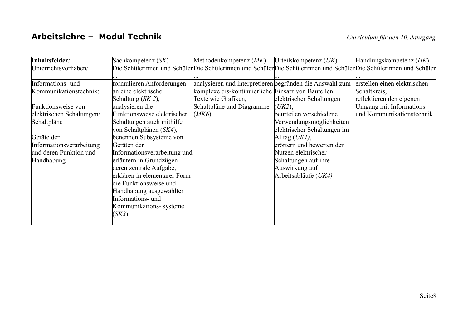#### Arbeitslehre - Modul Technik

| Inhaltsfelder/            | Sachkompetenz (SK)           | Methodenkompetenz (MK)                                   | Urteilskompetenz $(UK)$     | Handlungskompetenz (HK)                                                                                             |
|---------------------------|------------------------------|----------------------------------------------------------|-----------------------------|---------------------------------------------------------------------------------------------------------------------|
| Unterrichtsvorhaben/      |                              |                                                          |                             | Die Schülerinnen und Schüler Die Schülerinnen und Schüler Die Schülerinnen und Schüler Die Schülerinnen und Schüler |
| Informations- und         | formulieren Anforderungen    | analysieren und interpretieren begründen die Auswahl zum |                             | erstellen einen elektrischen                                                                                        |
| Kommunikationstechnik:    | an eine elektrische          | komplexe dis-kontinuierliche Einsatz von Bauteilen       |                             | Schaltkreis,                                                                                                        |
|                           | Schaltung (SK 2),            | Texte wie Grafiken,                                      | elektrischer Schaltungen    | reflektieren den eigenen                                                                                            |
| Funktionsweise von        | analysieren die              | Schaltpläne und Diagramme                                | (UK2),                      | Umgang mit Informations-                                                                                            |
| elektrischen Schaltungen/ | Funktionsweise elektrischer  | (MK6)                                                    | beurteilen verschiedene     | und Kommunikationstechnik                                                                                           |
| Schaltpläne               | Schaltungen auch mithilfe    |                                                          | Verwendungsmöglichkeiten    |                                                                                                                     |
|                           | von Schaltplänen (SK4),      |                                                          | elektrischer Schaltungen im |                                                                                                                     |
| Geräte der                | benennen Subsysteme von      |                                                          | Alltag $(UKI)$ ,            |                                                                                                                     |
| Informationsverarbeitung  | Geräten der                  |                                                          | erörtern und bewerten den   |                                                                                                                     |
| und deren Funktion und    | Informationsverarbeitung und |                                                          | Nutzen elektrischer         |                                                                                                                     |
| Handhabung                | erläutern in Grundzügen      |                                                          | Schaltungen auf ihre        |                                                                                                                     |
|                           | deren zentrale Aufgabe,      |                                                          | Auswirkung auf              |                                                                                                                     |
|                           | erklären in elementarer Form |                                                          | Arbeitsabläufe (UK4)        |                                                                                                                     |
|                           | die Funktionsweise und       |                                                          |                             |                                                                                                                     |
|                           | Handhabung ausgewählter      |                                                          |                             |                                                                                                                     |
|                           | Informations- und            |                                                          |                             |                                                                                                                     |
|                           | Kommunikations- systeme      |                                                          |                             |                                                                                                                     |
|                           | (SK3)                        |                                                          |                             |                                                                                                                     |
|                           |                              |                                                          |                             |                                                                                                                     |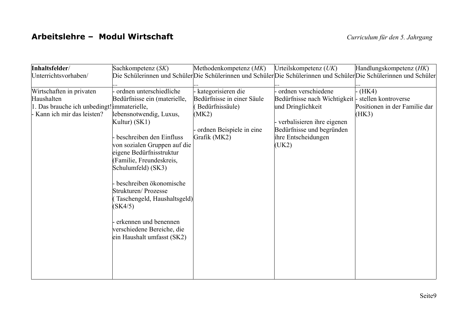#### Arbeitslehre - Modul Wirtschaft

| Inhaltsfelder/                              | Sachkompetenz (SK)           | Methodenkompetenz $(MK)$   | Urteilskompetenz $(UK)$       | Handlungskompetenz (HK)                                                                                             |
|---------------------------------------------|------------------------------|----------------------------|-------------------------------|---------------------------------------------------------------------------------------------------------------------|
| Unterrichtsvorhaben/                        |                              |                            |                               | Die Schülerinnen und Schüler Die Schülerinnen und Schüler Die Schülerinnen und Schüler Die Schülerinnen und Schüler |
|                                             |                              |                            |                               |                                                                                                                     |
| Wirtschaften in privaten                    | ordnen unterschiedliche      | kategorisieren die         | - ordnen verschiedene         | $-HK4)$                                                                                                             |
| Haushalten                                  | Bedürfnisse ein (materielle, | Bedürfnisse in einer Säule | Bedürfnisse nach Wichtigkeit- | stellen kontroverse                                                                                                 |
| 1. Das brauche ich unbedingt! immaterielle, |                              | Bedürfnissäule)            | und Dringlichkeit             | Positionen in der Familie dar                                                                                       |
| Kann ich mir das leisten?                   | lebensnotwendig, Luxus,      | (MK2)                      |                               | (HK3)                                                                                                               |
|                                             | Kultur) (SK1)                |                            | - verbalisieren ihre eigenen  |                                                                                                                     |
|                                             |                              | ordnen Beispiele in eine   | Bedürfnisse und begründen     |                                                                                                                     |
|                                             | beschreiben den Einfluss     | Grafik (MK2)               | ihre Entscheidungen           |                                                                                                                     |
|                                             | von sozialen Gruppen auf die |                            | (UK2)                         |                                                                                                                     |
|                                             | eigene Bedürfnisstruktur     |                            |                               |                                                                                                                     |
|                                             | (Familie, Freundeskreis,     |                            |                               |                                                                                                                     |
|                                             | Schulumfeld) (SK3)           |                            |                               |                                                                                                                     |
|                                             | beschreiben ökonomische      |                            |                               |                                                                                                                     |
|                                             | Strukturen/Prozesse          |                            |                               |                                                                                                                     |
|                                             | Taschengeld, Haushaltsgeld)  |                            |                               |                                                                                                                     |
|                                             | (SK4/5)                      |                            |                               |                                                                                                                     |
|                                             |                              |                            |                               |                                                                                                                     |
|                                             | erkennen und benennen        |                            |                               |                                                                                                                     |
|                                             | verschiedene Bereiche, die   |                            |                               |                                                                                                                     |
|                                             | ein Haushalt umfasst (SK2)   |                            |                               |                                                                                                                     |
|                                             |                              |                            |                               |                                                                                                                     |
|                                             |                              |                            |                               |                                                                                                                     |
|                                             |                              |                            |                               |                                                                                                                     |
|                                             |                              |                            |                               |                                                                                                                     |
|                                             |                              |                            |                               |                                                                                                                     |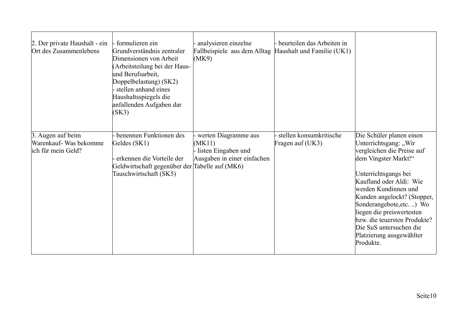| 2. Der private Haushalt - ein<br>Ort des Zusammenlebens           | - formulieren ein<br>Grundverständnis zentraler<br>Dimensionen von Arbeit<br>(Arbeitsteilung bei der Haus-<br>und Berufsarbeit,<br>Doppelbelastung) (SK2)<br>stellen anhand eines<br>Haushaltsspiegels die<br>anfallenden Aufgaben dar<br>(SK3) | - analysieren einzelne<br>Fallbeispiele aus dem Alltag Haushalt und Familie (UK1)<br>(MK9) | - beurteilen das Arbeiten in                |                                                                                                                                                                                                                                                                                                                                                                               |
|-------------------------------------------------------------------|-------------------------------------------------------------------------------------------------------------------------------------------------------------------------------------------------------------------------------------------------|--------------------------------------------------------------------------------------------|---------------------------------------------|-------------------------------------------------------------------------------------------------------------------------------------------------------------------------------------------------------------------------------------------------------------------------------------------------------------------------------------------------------------------------------|
| 3. Augen auf beim<br>Warenkauf- Was bekomme<br>ich für mein Geld? | benennen Funktionen des<br>Geldes (SK1)<br>erkennen die Vorteile der<br>Geldwirtschaft gegenüber der Tabelle auf (MK6)<br>Tauschwirtschaft (SK5)                                                                                                | - werten Diagramme aus<br>(MK11)<br>- listen Eingaben und<br>Ausgaben in einer einfachen   | stellen konsumkritische<br>Fragen auf (UK3) | Die Schüler planen einen<br>Unterrichtsgang: "Wir<br>vergleichen die Preise auf<br>dem Vingster Markt!"<br>Unterrichtsgangs bei<br>Kaufland oder Aldi: Wie<br>werden Kundinnen und<br>Kunden angelockt? (Stopper,<br>Sonderangebote, etc) Wo<br>liegen die preiswertesten<br>bzw. die teuersten Produkte?<br>Die SuS untersuchen die<br>Platzierung ausgewählter<br>Produkte. |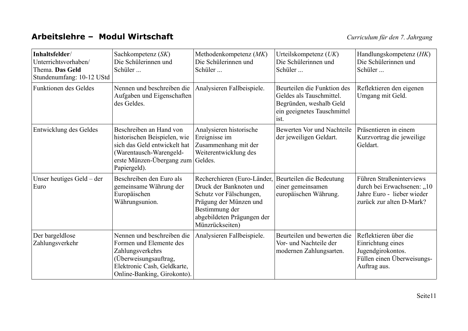#### Arbeitslehre - Modul Wirtschaft

| Inhaltsfelder/<br>Unterrichtsvorhaben/<br>Thema. Das Geld<br>Stundenumfang: 10-12 UStd | Sachkompetenz (SK)<br>Die Schülerinnen und<br>Schüler                                                                                                                   | Methodenkompetenz (MK)<br>Die Schülerinnen und<br>Schüler                                                                                                                                               | Urteilskompetenz $(UK)$<br>Die Schülerinnen und<br>Schüler                                                                | Handlungskompetenz (HK)<br>Die Schülerinnen und<br>Schüler                                                       |
|----------------------------------------------------------------------------------------|-------------------------------------------------------------------------------------------------------------------------------------------------------------------------|---------------------------------------------------------------------------------------------------------------------------------------------------------------------------------------------------------|---------------------------------------------------------------------------------------------------------------------------|------------------------------------------------------------------------------------------------------------------|
| <b>Funktionen des Geldes</b>                                                           | Nennen und beschreiben die<br>Aufgaben und Eigenschaften<br>des Geldes.                                                                                                 | Analysieren Fallbeispiele.                                                                                                                                                                              | Beurteilen die Funktion des<br>Geldes als Tauschmittel.<br>Begründen, weshalb Geld<br>ein geeignetes Tauschmittel<br>ist. | Reflektieren den eigenen<br>Umgang mit Geld.                                                                     |
| Entwicklung des Geldes                                                                 | Beschreiben an Hand von<br>historischen Beispielen, wie<br>sich das Geld entwickelt hat<br>(Warentausch-Warengeld-<br>erste Münzen-Übergang zum Geldes.<br>Papiergeld). | Analysieren historische<br>Ereignisse im<br>Zusammenhang mit der<br>Weiterentwicklung des                                                                                                               | Bewerten Vor und Nachteile<br>der jeweiligen Geldart.                                                                     | Präsentieren in einem<br>Kurzvortrag die jeweilige<br>Geldart.                                                   |
| Unser heutiges Geld – der<br>Euro                                                      | Beschreiben den Euro als<br>gemeinsame Währung der<br>Europäischen<br>Währungsunion.                                                                                    | Recherchieren (Euro-Länder, Beurteilen die Bedeutung<br>Druck der Banknoten und<br>Schutz vor Fälschungen,<br>Prägung der Münzen und<br>Bestimmung der<br>abgebildeten Prägungen der<br>Münzrückseiten) | einer gemeinsamen<br>europäischen Währung.                                                                                | Führen Straßeninterviews<br>durch bei Erwachsenen: "10<br>Jahre Euro - lieber wieder<br>zurück zur alten D-Mark? |
| Der bargeldlose<br>Zahlungsverkehr                                                     | Nennen und beschreiben die<br>Formen und Elemente des<br>Zahlungsverkehrs<br>(Überweisungsauftrag,<br>Elektronic Cash, Geldkarte,<br>Online-Banking, Girokonto).        | Analysieren Fallbeispiele.                                                                                                                                                                              | Beurteilen und bewerten die<br>Vor- und Nachteile der<br>modernen Zahlungsarten.                                          | Reflektieren über die<br>Einrichtung eines<br>Jugendgirokontos.<br>Füllen einen Überweisungs-<br>Auftrag aus.    |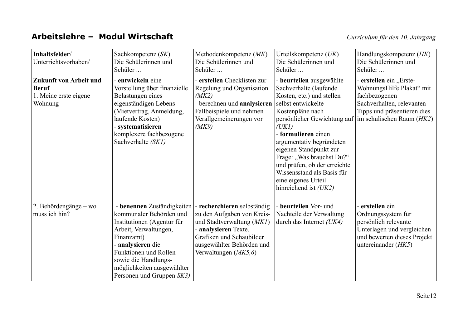#### Arbeitslehre - Modul Wirtschaft

| Inhaltsfelder/<br>Unterrichtsvorhaben/                                     | Sachkompetenz (SK)<br>Die Schülerinnen und<br>Schüler                                                                                                                                                                                                       | Methodenkompetenz (MK)<br>Die Schülerinnen und<br>Schüler                                                                                                                                          | Urteilskompetenz $(UK)$<br>Die Schülerinnen und<br>Schüler                                                                                                                                                                                                                                                                                                   | Handlungskompetenz (HK)<br>Die Schülerinnen und<br>Schüler                                                                                                                                 |
|----------------------------------------------------------------------------|-------------------------------------------------------------------------------------------------------------------------------------------------------------------------------------------------------------------------------------------------------------|----------------------------------------------------------------------------------------------------------------------------------------------------------------------------------------------------|--------------------------------------------------------------------------------------------------------------------------------------------------------------------------------------------------------------------------------------------------------------------------------------------------------------------------------------------------------------|--------------------------------------------------------------------------------------------------------------------------------------------------------------------------------------------|
| Zukunft von Arbeit und<br><b>Beruf</b><br>1. Meine erste eigene<br>Wohnung | - entwickeln eine<br>Vorstellung über finanzielle<br>Belastungen eines<br>eigenständigen Lebens<br>(Mietvertrag, Anmeldung,<br>laufende Kosten)<br>- systematisieren<br>komplexere fachbezogene<br>Sachverhalte (SK1)                                       | - erstellen Checklisten zur<br>Regelung und Organisation<br>(MK2)<br>- berechnen und analysieren<br>Fallbeispiele und nehmen<br>Verallgemeinerungen vor<br>(MK9)                                   | - beurteilen ausgewählte<br>Sachverhalte (laufende<br>Kosten, etc.) und stellen<br>selbst entwickelte<br>Kostenpläne nach<br>(UKI)<br>- formulieren einen<br>argumentativ begründeten<br>eigenen Standpunkt zur<br>Frage: "Was brauchst Du?"<br>und prüfen, ob der erreichte<br>Wissensstand als Basis für<br>eine eigenes Urteil<br>hinreichend ist $(UK2)$ | - erstellen ein "Erste-<br>WohnungsHilfe Plakat" mit<br>fachbezogenen<br>Sachverhalten, relevanten<br>Tipps und präsentieren dies<br>persönlicher Gewichtung auf im schulischen Raum (HK2) |
| 2. Behördengänge – wo<br>muss ich hin?                                     | - benennen Zuständigkeiten<br>kommunaler Behörden und<br>Institutionen (Agentur für<br>Arbeit, Verwaltungen,<br>Finanzamt)<br>- analysieren die<br>Funktionen und Rollen<br>sowie die Handlungs-<br>möglichkeiten ausgewählter<br>Personen und Gruppen SK3) | - recherchieren selbständig<br>zu den Aufgaben von Kreis-<br>und Stadtverwaltung (MK1)<br>- analysieren Texte,<br>Grafiken und Schaubilder<br>ausgewählter Behörden und<br>Verwaltungen $(MK5, 6)$ | - beurteilen Vor- und<br>Nachteile der Verwaltung<br>durch das Internet $(UK4)$                                                                                                                                                                                                                                                                              | - erstellen ein<br>Ordnungssystem für<br>persönlich relevante<br>Unterlagen und vergleichen<br>und bewerten dieses Projekt<br>untereinander (HK5)                                          |